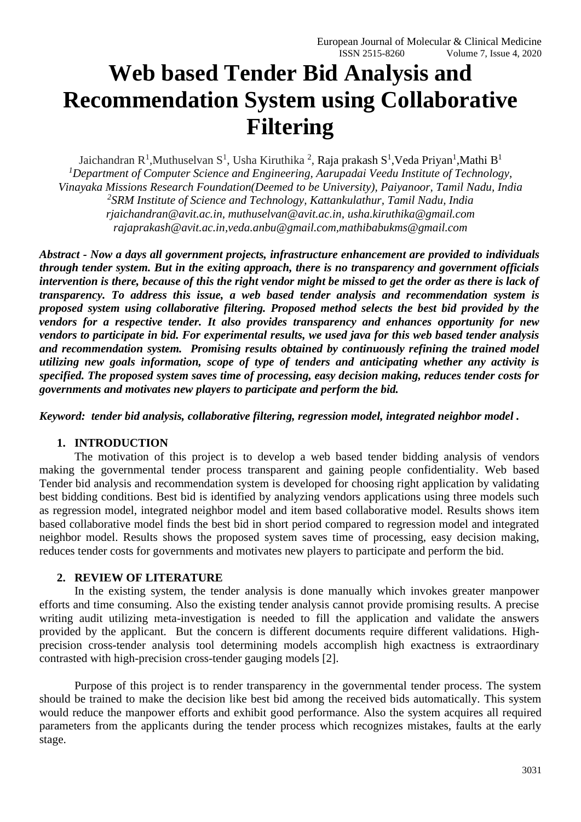# **Web based Tender Bid Analysis and Recommendation System using Collaborative Filtering**

Jaichandran R<sup>1</sup>, Muthuselvan S<sup>1</sup>, Usha Kiruthika<sup>2</sup>, Raja prakash S<sup>1</sup>, Veda Priyan<sup>1</sup>, Mathi B<sup>1</sup> *<sup>1</sup>Department of Computer Science and Engineering, Aarupadai Veedu Institute of Technology, Vinayaka Missions Research Foundation(Deemed to be University), Paiyanoor, Tamil Nadu, India 2 SRM Institute of Science and Technology, Kattankulathur, Tamil Nadu, India rjaichandran@avit.ac.in, muthuselvan@avit.ac.in, usha.kiruthika@gmail.com rajaprakash@avit.ac.in,veda.anbu@gmail.com,mathibabukms@gmail.com*

*Abstract - Now a days all government projects, infrastructure enhancement are provided to individuals through tender system. But in the exiting approach, there is no transparency and government officials intervention is there, because of this the right vendor might be missed to get the order as there is lack of transparency. To address this issue, a web based tender analysis and recommendation system is proposed system using collaborative filtering. Proposed method selects the best bid provided by the vendors for a respective tender. It also provides transparency and enhances opportunity for new vendors to participate in bid. For experimental results, we used java for this web based tender analysis and recommendation system. Promising results obtained by continuously refining the trained model utilizing new goals information, scope of type of tenders and anticipating whether any activity is specified. The proposed system saves time of processing, easy decision making, reduces tender costs for governments and motivates new players to participate and perform the bid.* 

*Keyword: tender bid analysis, collaborative filtering, regression model, integrated neighbor model .*

# **1. INTRODUCTION**

The motivation of this project is to develop a web based tender bidding analysis of vendors making the governmental tender process transparent and gaining people confidentiality. Web based Tender bid analysis and recommendation system is developed for choosing right application by validating best bidding conditions. Best bid is identified by analyzing vendors applications using three models such as regression model, integrated neighbor model and item based collaborative model. Results shows item based collaborative model finds the best bid in short period compared to regression model and integrated neighbor model. Results shows the proposed system saves time of processing, easy decision making, reduces tender costs for governments and motivates new players to participate and perform the bid.

# **2. REVIEW OF LITERATURE**

In the existing system, the tender analysis is done manually which invokes greater manpower efforts and time consuming. Also the existing tender analysis cannot provide promising results. A precise writing audit utilizing meta-investigation is needed to fill the application and validate the answers provided by the applicant. But the concern is different documents require different validations. Highprecision cross-tender analysis tool determining models accomplish high exactness is extraordinary contrasted with high-precision cross-tender gauging models [2].

Purpose of this project is to render transparency in the governmental tender process. The system should be trained to make the decision like best bid among the received bids automatically. This system would reduce the manpower efforts and exhibit good performance. Also the system acquires all required parameters from the applicants during the tender process which recognizes mistakes, faults at the early stage.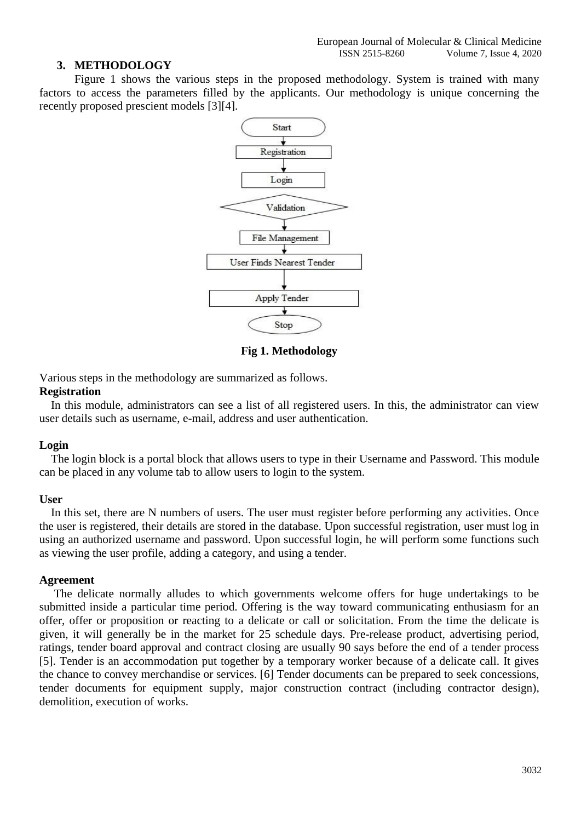# **3. METHODOLOGY**

Figure 1 shows the various steps in the proposed methodology. System is trained with many factors to access the parameters filled by the applicants. Our methodology is unique concerning the recently proposed prescient models [3][4].



**Fig 1. Methodology**

Various steps in the methodology are summarized as follows.

## **Registration**

 In this module, administrators can see a list of all registered users. In this, the administrator can view user details such as username, e-mail, address and user authentication.

# **Login**

 The login block is a portal block that allows users to type in their Username and Password. This module can be placed in any volume tab to allow users to login to the system.

# **User**

In this set, there are N numbers of users. The user must register before performing any activities. Once the user is registered, their details are stored in the database. Upon successful registration, user must log in using an authorized username and password. Upon successful login, he will perform some functions such as viewing the user profile, adding a category, and using a tender.

# **Agreement**

 The delicate normally alludes to which governments welcome offers for huge undertakings to be submitted inside a particular time period. Offering is the way toward communicating enthusiasm for an offer, offer or proposition or reacting to a delicate or call or solicitation. From the time the delicate is given, it will generally be in the market for 25 schedule days. Pre-release product, advertising period, ratings, tender board approval and contract closing are usually 90 says before the end of a tender process [5]. Tender is an accommodation put together by a temporary worker because of a delicate call. It gives the chance to convey merchandise or services. [6] Tender documents can be prepared to seek concessions, tender documents for equipment supply, major construction contract (including contractor design), demolition, execution of works.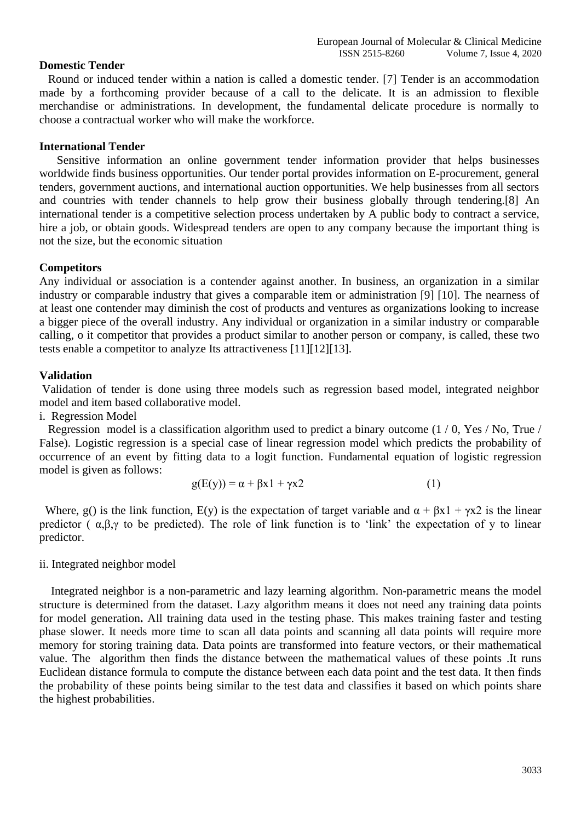## **Domestic Tender**

 Round or induced tender within a nation is called a domestic tender. [7] Tender is an accommodation made by a forthcoming provider because of a call to the delicate. It is an admission to flexible merchandise or administrations. In development, the fundamental delicate procedure is normally to choose a contractual worker who will make the workforce.

# **International Tender**

 Sensitive information an online government tender information provider that helps businesses worldwide finds business opportunities. Our tender portal provides information on E-procurement, general tenders, government auctions, and international auction opportunities. We help businesses from all sectors and countries with tender channels to help grow their business globally through tendering.[8] An international tender is a competitive selection process undertaken by A public body to contract a service, hire a job, or obtain goods. Widespread tenders are open to any company because the important thing is not the size, but the economic situation

# **Competitors**

Any individual or association is a contender against another. In business, an organization in a similar industry or comparable industry that gives a comparable item or administration [9] [10]. The nearness of at least one contender may diminish the cost of products and ventures as organizations looking to increase a bigger piece of the overall industry. Any individual or organization in a similar industry or comparable calling, o it competitor that provides a product similar to another person or company, is called, these two tests enable a competitor to analyze Its attractiveness [11][12][13].

## **Validation**

Validation of tender is done using three models such as regression based model, integrated neighbor model and item based collaborative model.

i.Regression Model

 Regression model is a classification algorithm used to predict a binary outcome (1 / 0, Yes / No, True / False). Logistic regression is a special case of linear regression model which predicts the probability of occurrence of an event by fitting data to a logit function. Fundamental equation of logistic regression model is given as follows:

$$
g(E(y)) = \alpha + \beta x \mathbf{1} + \gamma x \mathbf{2} \tag{1}
$$

Where, g() is the link function,  $E(y)$  is the expectation of target variable and  $\alpha + \beta x \mathbf{1} + \gamma x \mathbf{2}$  is the linear predictor ( $\alpha, \beta, \gamma$  to be predicted). The role of link function is to 'link' the expectation of y to linear predictor.

ii. Integrated neighbor model

 Integrated neighbor is a non-parametric and lazy learning algorithm. Non-parametric means the model structure is determined from the dataset. Lazy algorithm means it does not need any training data points for model generation**.** All training data used in the testing phase. This makes training faster and testing phase slower. It needs more time to scan all data points and scanning all data points will require more memory for storing training data. Data points are transformed into feature vectors, or their mathematical value. The algorithm then finds the distance between the mathematical values of these points .It runs Euclidean distance formula to compute the distance between each data point and the test data. It then finds the probability of these points being similar to the test data and classifies it based on which points share the highest probabilities.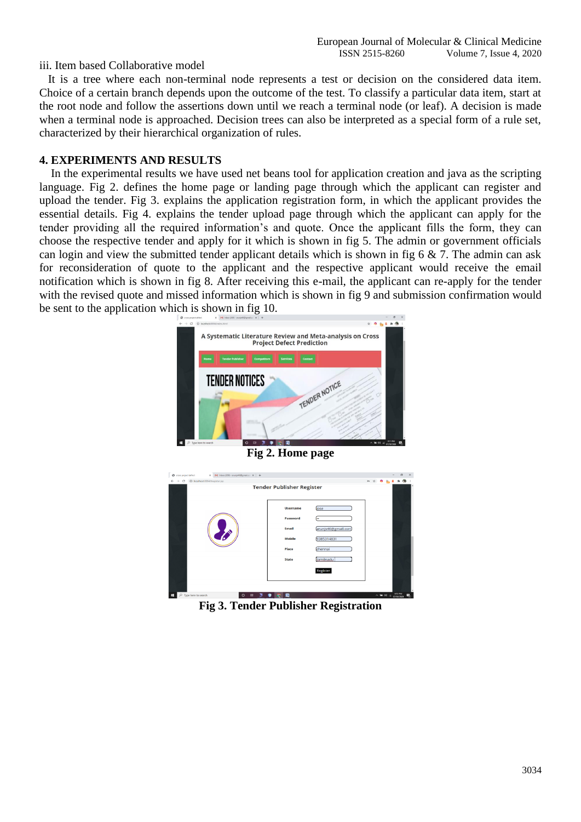# iii. Item based Collaborative model

 It is a tree where each non-terminal node represents a test or decision on the considered data item. Choice of a certain branch depends upon the outcome of the test. To classify a particular data item, start at the root node and follow the assertions down until we reach a terminal node (or leaf). A decision is made when a terminal node is approached. Decision trees can also be interpreted as a special form of a rule set, characterized by their hierarchical organization of rules.

# **4. EXPERIMENTS AND RESULTS**

 In the experimental results we have used net beans tool for application creation and java as the scripting language. Fig 2. defines the home page or landing page through which the applicant can register and upload the tender. Fig 3. explains the application registration form, in which the applicant provides the essential details. Fig 4. explains the tender upload page through which the applicant can apply for the tender providing all the required information's and quote. Once the applicant fills the form, they can choose the respective tender and apply for it which is shown in fig 5. The admin or government officials can login and view the submitted tender applicant details which is shown in fig 6  $\&$  7. The admin can ask for reconsideration of quote to the applicant and the respective applicant would receive the email notification which is shown in fig 8. After receiving this e-mail, the applicant can re-apply for the tender with the revised quote and missed information which is shown in fig 9 and submission confirmation would be sent to the application which is shown in fig 10.



**Fig 2. Home page**



**Fig 3. Tender Publisher Registration**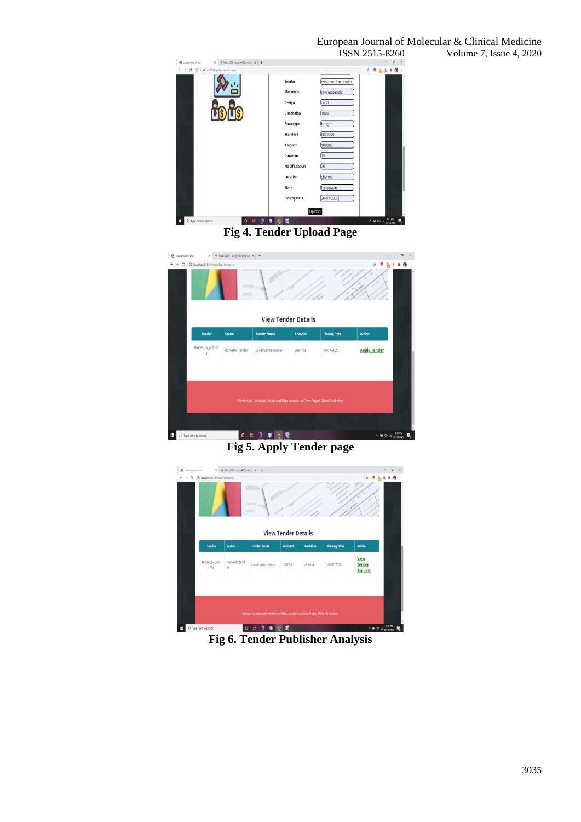

**Fig 4. Tender Upload Page**



**Fig 5. Apply Tender page**



**Fig 6. Tender Publisher Analysis**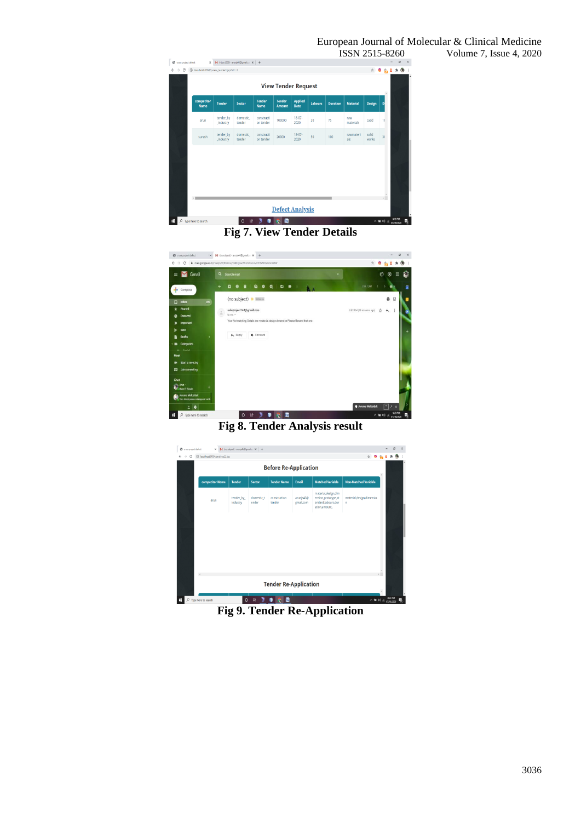# European Journal of Molecular & Clinical Medicine<br>ISSN 2515-8260 Volume 7, Issue 4, 2020



**Fig 7. View Tender Details**



**Fig 8. Tender Analysis result**

|                 |                       |                     | <b>Before Re-Application</b> |                        |                                                                                     |                                 |  |
|-----------------|-----------------------|---------------------|------------------------------|------------------------|-------------------------------------------------------------------------------------|---------------------------------|--|
| competitor Name | <b>Tender</b>         | Sector              | <b>Tender Name</b>           | Email                  | <b>Matched Variable</b>                                                             | <b>Non-Matched Variable</b>     |  |
| arun            | tender_by<br>industry | domestic t<br>ender | construction<br>tender       | arunjs46@<br>gmail.com | material, design, dim<br>ension,prototype,st<br>andard.labours.dur<br>ation.amount. | material, design, dimensio<br>n |  |
|                 |                       |                     |                              |                        |                                                                                     |                                 |  |
|                 |                       |                     |                              |                        |                                                                                     |                                 |  |
|                 |                       |                     |                              |                        |                                                                                     |                                 |  |
|                 |                       |                     |                              |                        |                                                                                     |                                 |  |

**Fig 9. Tender Re-Application**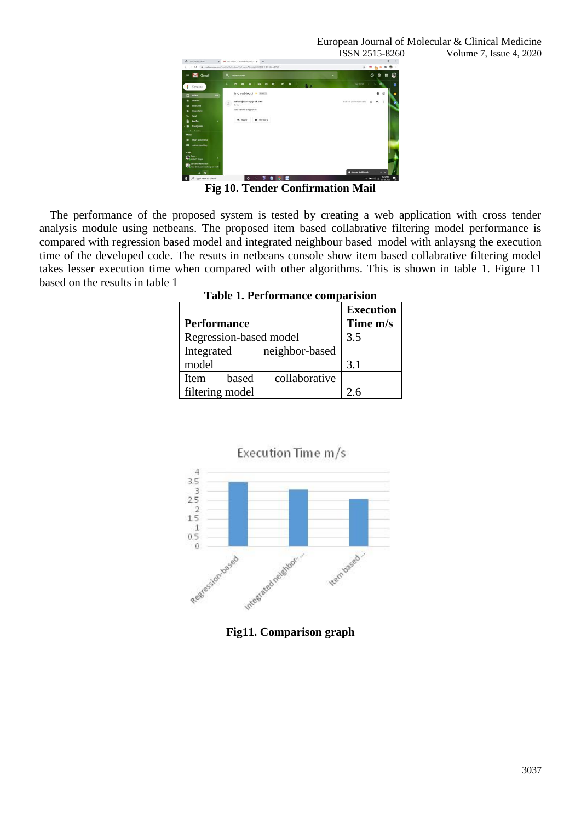

**Fig 10. Tender Confirmation Mail**

The performance of the proposed system is tested by creating a web application with cross tender analysis module using netbeans. The proposed item based collabrative filtering model performance is compared with regression based model and integrated neighbour based model with anlaysng the execution time of the developed code. The resuts in netbeans console show item based collabrative filtering model takes lesser execution time when compared with other algorithms. This is shown in table 1. Figure 11 based on the results in table 1

|                                       | <b>Execution</b> |  |  |  |
|---------------------------------------|------------------|--|--|--|
| <b>Performance</b>                    | Time m/s         |  |  |  |
| Regression-based model                | 3.5              |  |  |  |
| neighbor-based<br>Integrated          |                  |  |  |  |
| model                                 | 3.1              |  |  |  |
| collaborative<br><b>Item</b><br>based |                  |  |  |  |
| filtering model                       | 26               |  |  |  |

**Table 1. Performance comparision**



Execution Time m/s

**Fig11. Comparison graph**